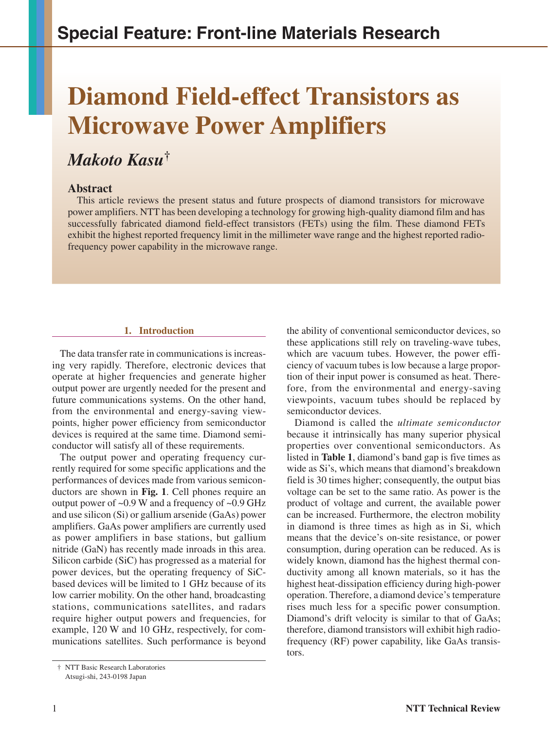# **Diamond Field-effect Transistors as Microwave Power Amplifiers**

# *Makoto Kasu***†**

## **Abstract**

This article reviews the present status and future prospects of diamond transistors for microwave power amplifiers. NTT has been developing a technology for growing high-quality diamond film and has successfully fabricated diamond field-effect transistors (FETs) using the film. These diamond FETs exhibit the highest reported frequency limit in the millimeter wave range and the highest reported radiofrequency power capability in the microwave range.

### **1. Introduction**

The data transfer rate in communications is increasing very rapidly. Therefore, electronic devices that operate at higher frequencies and generate higher output power are urgently needed for the present and future communications systems. On the other hand, from the environmental and energy-saving viewpoints, higher power efficiency from semiconductor devices is required at the same time. Diamond semiconductor will satisfy all of these requirements.

The output power and operating frequency currently required for some specific applications and the performances of devices made from various semiconductors are shown in **Fig. 1**. Cell phones require an output power of  $\sim 0.9$  W and a frequency of  $\sim 0.9$  GHz and use silicon (Si) or gallium arsenide (GaAs) power amplifiers. GaAs power amplifiers are currently used as power amplifiers in base stations, but gallium nitride (GaN) has recently made inroads in this area. Silicon carbide (SiC) has progressed as a material for power devices, but the operating frequency of SiCbased devices will be limited to 1 GHz because of its low carrier mobility. On the other hand, broadcasting stations, communications satellites, and radars require higher output powers and frequencies, for example, 120 W and 10 GHz, respectively, for communications satellites. Such performance is beyond the ability of conventional semiconductor devices, so these applications still rely on traveling-wave tubes, which are vacuum tubes. However, the power efficiency of vacuum tubes is low because a large proportion of their input power is consumed as heat. Therefore, from the environmental and energy-saving viewpoints, vacuum tubes should be replaced by semiconductor devices.

Diamond is called the *ultimate semiconductor* because it intrinsically has many superior physical properties over conventional semiconductors. As listed in **Table 1**, diamond's band gap is five times as wide as Si's, which means that diamond's breakdown field is 30 times higher; consequently, the output bias voltage can be set to the same ratio. As power is the product of voltage and current, the available power can be increased. Furthermore, the electron mobility in diamond is three times as high as in Si, which means that the device's on-site resistance, or power consumption, during operation can be reduced. As is widely known, diamond has the highest thermal conductivity among all known materials, so it has the highest heat-dissipation efficiency during high-power operation. Therefore, a diamond device's temperature rises much less for a specific power consumption. Diamond's drift velocity is similar to that of GaAs; therefore, diamond transistors will exhibit high radiofrequency (RF) power capability, like GaAs transistors.

<sup>†</sup> NTT Basic Research Laboratories Atsugi-shi, 243-0198 Japan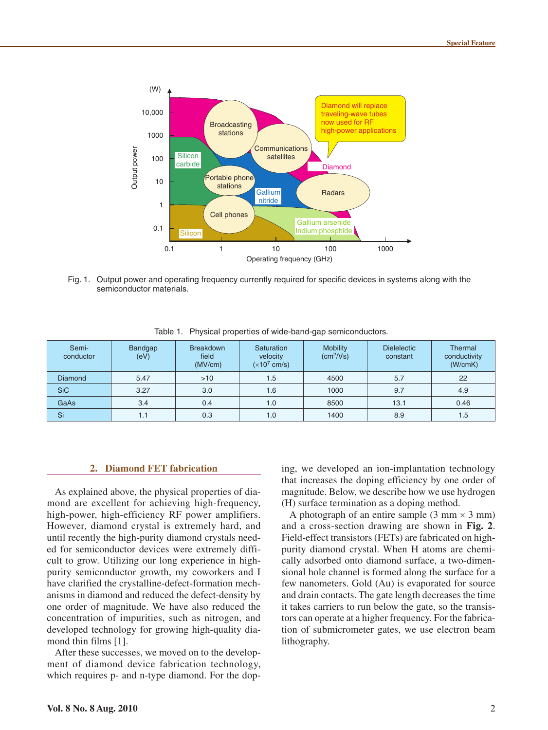

Fig. 1. Output power and operating frequency currently required for specific devices in systems along with the semiconductor materials.

| Semi-<br>conductor | Bandgap<br>(eV) | <b>Breakdown</b><br>field<br>(MV/cm) | <b>Saturation</b><br>velocity<br>$(x10^7 \text{ cm/s})$ | <b>Mobility</b><br>(cm <sup>2</sup> /Vs) | <b>Dielelectic</b><br>constant | Thermal<br>conductivity<br>(W/cmK) |
|--------------------|-----------------|--------------------------------------|---------------------------------------------------------|------------------------------------------|--------------------------------|------------------------------------|
| <b>Diamond</b>     | 5.47            | >10                                  | 1.5                                                     | 4500                                     | 5.7                            | 22                                 |
| <b>SiC</b>         | 3.27            | 3.0                                  | 1.6                                                     | 1000                                     | 9.7                            | 4.9                                |
| GaAs               | 3.4             | 0.4                                  | 1.0                                                     | 8500                                     | 13.1                           | 0.46                               |
| Si                 | 1.1             | 0.3                                  | 1.0                                                     | 1400                                     | 8.9                            | 1.5                                |

Table 1. Physical properties of wide-band-gap semiconductors.

#### **2. Diamond FET fabrication**

As explained above, the physical properties of diamond are excellent for achieving high-frequency, high-power, high-efficiency RF power amplifiers. However, diamond crystal is extremely hard, and until recently the high-purity diamond crystals needed for semiconductor devices were extremely difficult to grow. Utilizing our long experience in highpurity semiconductor growth, my coworkers and I have clarified the crystalline-defect-formation mechanisms in diamond and reduced the defect-density by one order of magnitude. We have also reduced the concentration of impurities, such as nitrogen, and developed technology for growing high-quality diamond thin films [1].

After these successes, we moved on to the development of diamond device fabrication technology, which requires p- and n-type diamond. For the dop-

ing, we developed an ion-implantation technology that increases the doping efficiency by one order of magnitude. Below, we describe how we use hydrogen (H) surface termination as a doping method.

A photograph of an entire sample  $(3 \text{ mm} \times 3 \text{ mm})$ and a cross-section drawing are shown in **Fig. 2**. Field-effect transistors (FETs) are fabricated on highpurity diamond crystal. When H atoms are chemically adsorbed onto diamond surface, a two-dimensional hole channel is formed along the surface for a few nanometers. Gold (Au) is evaporated for source and drain contacts. The gate length decreases the time it takes carriers to run below the gate, so the transistors can operate at a higher frequency. For the fabrication of submicrometer gates, we use electron beam lithography.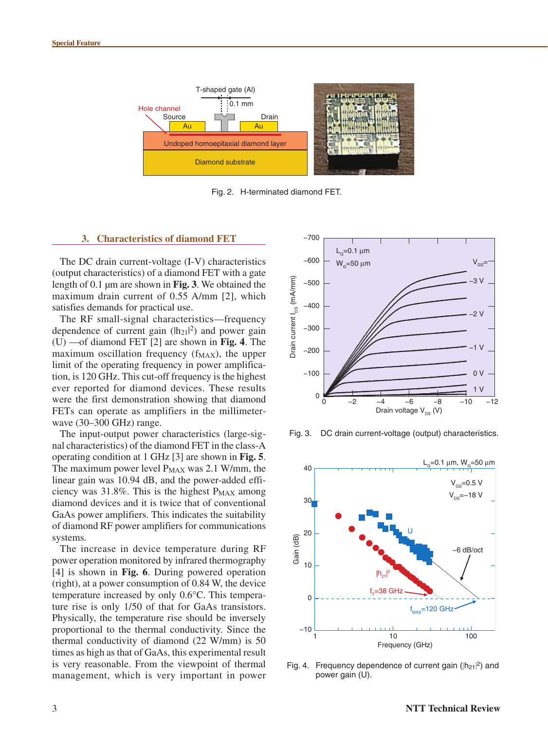

Fig. 2. H-terminated diamond FET.

#### **3. Characteristics of diamond FET**

The DC drain current-voltage (I-V) characteristics (output characteristics) of a diamond FET with a gate length of 0.1 μm are shown in **Fig. 3**. We obtained the maximum drain current of 0.55 A/mm [2], which satisfies demands for practical use.

The RF small-signal characteristics—frequency dependence of current gain  $(h_{21}|^2)$  and power gain (U) —of diamond FET [2] are shown in **Fig. 4**. The maximum oscillation frequency  $(f_{MAX})$ , the upper limit of the operating frequency in power amplification, is 120 GHz. This cut-off frequency is the highest ever reported for diamond devices. These results were the first demonstration showing that diamond FETs can operate as amplifiers in the millimeterwave (30–300 GHz) range.

The input-output power characteristics (large-signal characteristics) of the diamond FET in the class-A operating condition at 1 GHz [3] are shown in **Fig. 5**. The maximum power level  $P_{MAX}$  was 2.1 W/mm, the linear gain was 10.94 dB, and the power-added efficiency was  $31.8\%$ . This is the highest  $P_{MAX}$  among diamond devices and it is twice that of conventional GaAs power amplifiers. This indicates the suitability of diamond RF power amplifiers for communications systems.

The increase in device temperature during RF power operation monitored by infrared thermography [4] is shown in **Fig. 6**. During powered operation (right), at a power consumption of 0.84 W, the device temperature increased by only 0.6°C. This temperature rise is only 1/50 of that for GaAs transistors. Physically, the temperature rise should be inversely proportional to the thermal conductivity. Since the thermal conductivity of diamond (22 W/mm) is 50 times as high as that of GaAs, this experimental result is very reasonable. From the viewpoint of thermal management, which is very important in power



Fig. 3. DC drain current-voltage (output) characteristics.



Fig. 4. Frequency dependence of current gain ( $|h_{21}|^2$ ) and power gain (U).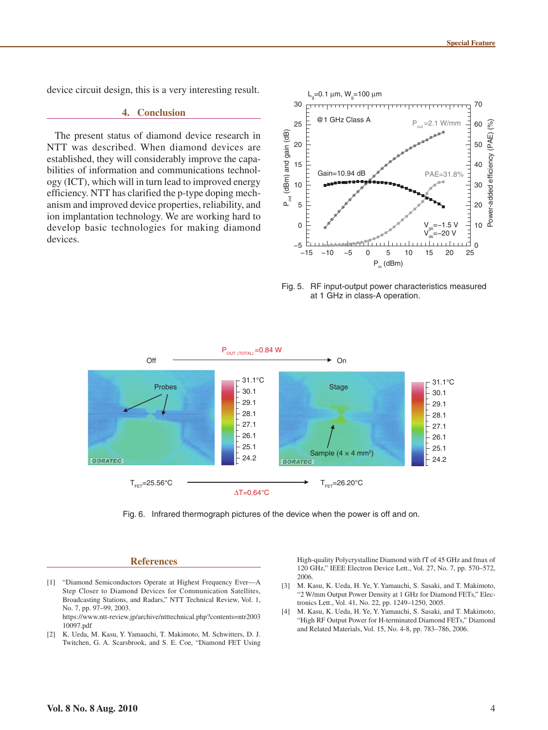device circuit design, this is a very interesting result.

#### **4. Conclusion**

The present status of diamond device research in NTT was described. When diamond devices are established, they will considerably improve the capabilities of information and communications technology (ICT), which will in turn lead to improved energy efficiency. NTT has clarified the p-type doping mechanism and improved device properties, reliability, and ion implantation technology. We are working hard to develop basic technologies for making diamond devices.



Fig. 5. RF input-output power characteristics measured at 1 GHz in class-A operation.



Fig. 6. Infrared thermograph pictures of the device when the power is off and on.

#### **References**

- [1] "Diamond Semiconductors Operate at Highest Frequency Ever—A Step Closer to Diamond Devices for Communication Satellites, Broadcasting Stations, and Radars," NTT Technical Review, Vol. 1, No. 7, pp. 97–99, 2003. https://www.ntt-review.jp/archive/ntttechnical.php?contents=ntr2003 10097.pdf
- [2] K. Ueda, M. Kasu, Y. Yamauchi, T. Makimoto, M. Schwitters, D. J. Twitchen, G. A. Scarsbrook, and S. E. Coe, "Diamond FET Using

High-quality Polycrystalline Diamond with fT of 45 GHz and fmax of 120 GHz," IEEE Electron Device Lett., Vol. 27, No. 7, pp. 570–572, 2006.

- [3] M. Kasu, K. Ueda, H. Ye, Y. Yamauchi, S. Sasaki, and T. Makimoto, "2 W/mm Output Power Density at 1 GHz for Diamond FETs," Electronics Lett., Vol. 41, No. 22, pp. 1249–1250, 2005.
- [4] M. Kasu, K. Ueda, H. Ye, Y. Yamauchi, S. Sasaki, and T. Makimoto, "High RF Output Power for H-terminated Diamond FETs," Diamond and Related Materials, Vol. 15, No. 4-8, pp. 783–786, 2006.